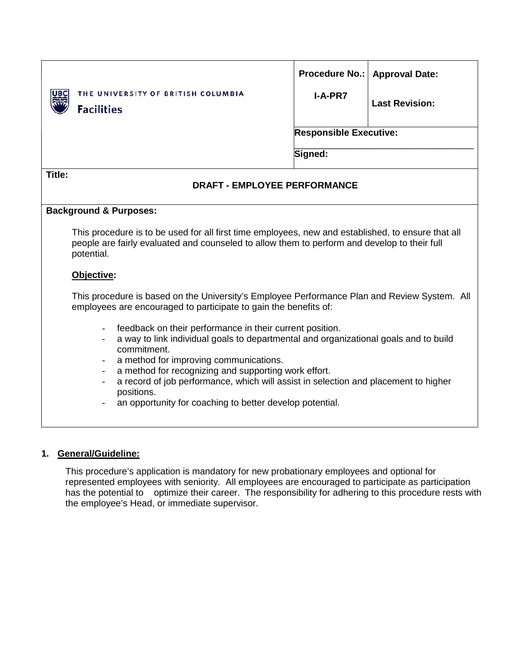| THE UNIVERSITY OF BRITISH COLUMBIA<br><b>Facilities</b>                                                                                                          | <b>Procedure No.:</b><br><b>I-A-PR7</b>                                                                                                                                                                                                                                                                                                   | <b>Approval Date:</b><br><b>Last Revision:</b> |  |  |  |  |  |
|------------------------------------------------------------------------------------------------------------------------------------------------------------------|-------------------------------------------------------------------------------------------------------------------------------------------------------------------------------------------------------------------------------------------------------------------------------------------------------------------------------------------|------------------------------------------------|--|--|--|--|--|
|                                                                                                                                                                  | <b>Responsible Executive:</b>                                                                                                                                                                                                                                                                                                             |                                                |  |  |  |  |  |
|                                                                                                                                                                  | Signed:                                                                                                                                                                                                                                                                                                                                   |                                                |  |  |  |  |  |
| Title:                                                                                                                                                           | <b>DRAFT - EMPLOYEE PERFORMANCE</b>                                                                                                                                                                                                                                                                                                       |                                                |  |  |  |  |  |
| <b>Background &amp; Purposes:</b>                                                                                                                                |                                                                                                                                                                                                                                                                                                                                           |                                                |  |  |  |  |  |
| potential.                                                                                                                                                       | This procedure is to be used for all first time employees, new and established, to ensure that all<br>people are fairly evaluated and counseled to allow them to perform and develop to their full                                                                                                                                        |                                                |  |  |  |  |  |
| Objective:                                                                                                                                                       |                                                                                                                                                                                                                                                                                                                                           |                                                |  |  |  |  |  |
| This procedure is based on the University's Employee Performance Plan and Review System. All<br>employees are encouraged to participate to gain the benefits of: |                                                                                                                                                                                                                                                                                                                                           |                                                |  |  |  |  |  |
| commitment.<br>$\overline{\phantom{a}}$                                                                                                                          | feedback on their performance in their current position.<br>a way to link individual goals to departmental and organizational goals and to build<br>a method for improving communications.<br>a method for recognizing and supporting work effort.<br>a record of job performance, which will assist in selection and placement to higher |                                                |  |  |  |  |  |
| positions.                                                                                                                                                       | an opportunity for coaching to better develop potential.                                                                                                                                                                                                                                                                                  |                                                |  |  |  |  |  |

# **1. General/Guideline:**

This procedure's application is mandatory for new probationary employees and optional for represented employees with seniority. All employees are encouraged to participate as participation has the potential to optimize their career. The responsibility for adhering to this procedure rests with the employee's Head, or immediate supervisor.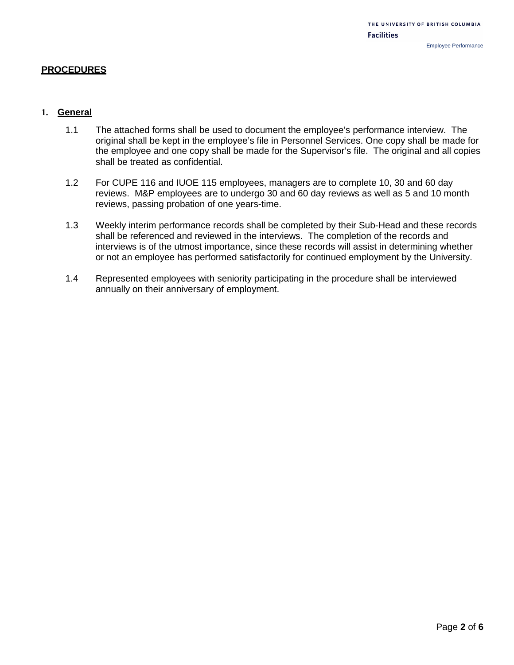### **PROCEDURES**

## **1. General**

- 1.1 The attached forms shall be used to document the employee's performance interview. The original shall be kept in the employee's file in Personnel Services. One copy shall be made for the employee and one copy shall be made for the Supervisor's file. The original and all copies shall be treated as confidential.
- 1.2 For CUPE 116 and IUOE 115 employees, managers are to complete 10, 30 and 60 day reviews. M&P employees are to undergo 30 and 60 day reviews as well as 5 and 10 month reviews, passing probation of one years-time.
- 1.3 Weekly interim performance records shall be completed by their Sub-Head and these records shall be referenced and reviewed in the interviews. The completion of the records and interviews is of the utmost importance, since these records will assist in determining whether or not an employee has performed satisfactorily for continued employment by the University.
- 1.4 Represented employees with seniority participating in the procedure shall be interviewed annually on their anniversary of employment.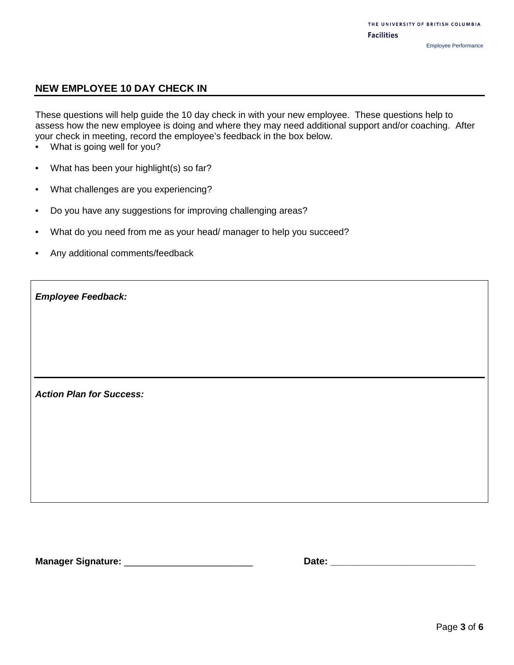## **NEW EMPLOYEE 10 DAY CHECK IN**

These questions will help guide the 10 day check in with your new employee. These questions help to assess how the new employee is doing and where they may need additional support and/or coaching. After your check in meeting, record the employee's feedback in the box below.

- What is going well for you?
- What has been your highlight(s) so far?
- What challenges are you experiencing?
- Do you have any suggestions for improving challenging areas?
- What do you need from me as your head/ manager to help you succeed?
- Any additional comments/feedback

|  | <b>Action Plan for Success:</b> |
|--|---------------------------------|
|  |                                 |

*Employee Feedback:*

**Manager Signature:** \_\_\_\_\_\_\_\_\_\_\_\_\_\_\_\_\_\_\_\_\_\_\_\_ **Date: \_\_\_\_\_\_\_\_\_\_\_\_\_\_\_\_\_\_\_\_\_\_\_\_\_\_\_**

| Date: |  |  |  |  |
|-------|--|--|--|--|
|       |  |  |  |  |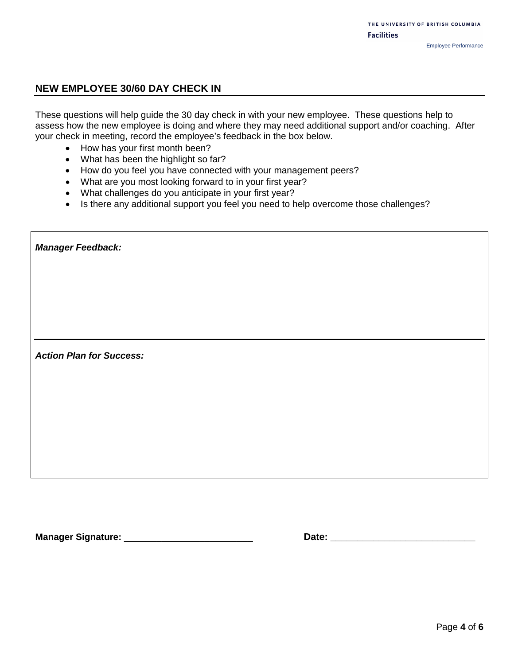## **NEW EMPLOYEE 30/60 DAY CHECK IN**

These questions will help guide the 30 day check in with your new employee. These questions help to assess how the new employee is doing and where they may need additional support and/or coaching. After your check in meeting, record the employee's feedback in the box below.

- How has your first month been?
- What has been the highlight so far?
- How do you feel you have connected with your management peers?
- What are you most looking forward to in your first year?
- What challenges do you anticipate in your first year?
- Is there any additional support you feel you need to help overcome those challenges?

| <b>Manager Feedback:</b>        |
|---------------------------------|
|                                 |
|                                 |
|                                 |
| <b>Action Plan for Success:</b> |
|                                 |
|                                 |
|                                 |

**Manager Signature:** \_\_\_\_\_\_\_\_\_\_\_\_\_\_\_\_\_\_\_\_\_\_\_\_ **Date: \_\_\_\_\_\_\_\_\_\_\_\_\_\_\_\_\_\_\_\_\_\_\_\_\_\_\_**

| Date: |  |  |  |  |  |
|-------|--|--|--|--|--|
|       |  |  |  |  |  |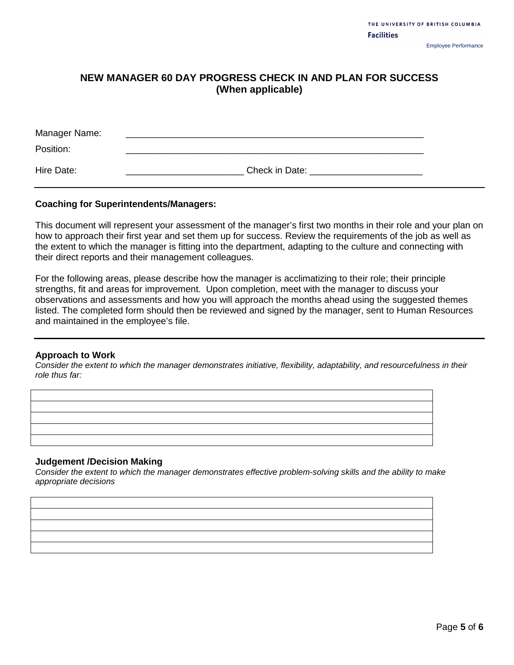# **NEW MANAGER 60 DAY PROGRESS CHECK IN AND PLAN FOR SUCCESS (When applicable)**

| Manager Name: |                |
|---------------|----------------|
| Position:     |                |
| Hire Date:    | Check in Date: |

### **Coaching for Superintendents/Managers:**

This document will represent your assessment of the manager's first two months in their role and your plan on how to approach their first year and set them up for success. Review the requirements of the job as well as the extent to which the manager is fitting into the department, adapting to the culture and connecting with their direct reports and their management colleagues.

For the following areas, please describe how the manager is acclimatizing to their role; their principle strengths, fit and areas for improvement. Upon completion, meet with the manager to discuss your observations and assessments and how you will approach the months ahead using the suggested themes listed. The completed form should then be reviewed and signed by the manager, sent to Human Resources and maintained in the employee's file.

#### **Approach to Work**

*Consider the extent to which the manager demonstrates initiative, flexibility, adaptability, and resourcefulness in their role thus far:* 

#### **Judgement /Decision Making**

*Consider the extent to which the manager demonstrates effective problem-solving skills and the ability to make appropriate decisions*